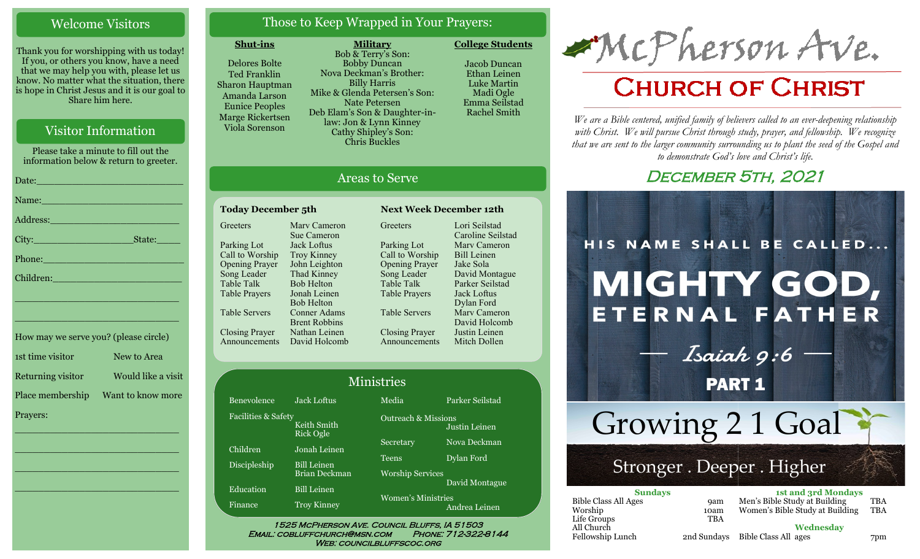## Welcome Visitors

Thank you for worshipping with us today! If you, or others you know, have a need that we may help you with, please let us know. No matter what the situation, there is hope in Christ Jesus and it is our goal to Share him here.

## Visitor Information

Please take a minute to fill out the information below & return to greeter. Date: $\sqsubseteq$ Name:

| City:                         | State: |
|-------------------------------|--------|
| Phone: New York Dennis Phone: |        |
| Children:                     |        |

\_\_\_\_\_\_\_\_\_\_\_\_\_\_\_\_\_\_\_\_\_\_\_\_\_\_\_\_

\_\_\_\_\_\_\_\_\_\_\_\_\_\_\_\_\_\_\_\_\_\_\_\_\_\_\_\_

| How may we serve you? (please circle) |                    |
|---------------------------------------|--------------------|
| 1st time visitor                      | New to Area        |
| Returning visitor                     | Would like a visit |
| Place membership                      | Want to know more  |
| Prayers:                              |                    |

\_\_\_\_\_\_\_\_\_\_\_\_\_\_\_\_\_\_\_\_\_\_\_\_\_\_\_\_

 $\overline{\phantom{a}}$  , and the set of the set of the set of the set of the set of the set of the set of the set of the set of the set of the set of the set of the set of the set of the set of the set of the set of the set of the s

 $\overline{\phantom{a}}$  , and the set of the set of the set of the set of the set of the set of the set of the set of the set of the set of the set of the set of the set of the set of the set of the set of the set of the set of the s

\_\_\_\_\_\_\_\_\_\_\_\_\_\_\_\_\_\_\_\_\_\_\_\_\_\_\_\_

# Those to Keep Wrapped in Your Prayers:

**Military**

### **Shut-ins**

Delores Bolte Ted Franklin Sharon Hauptman Amanda Larson Eunice Peoples Marge Rickertsen Viola Sorenson

Bob & Terry's Son: Bobby Duncan Nova Deckman's Brother: Billy Harris Mike & Glenda Petersen's Son: Nate Petersen Deb Elam's Son & Daughter-inlaw: Jon & Lynn Kinney Cathy Shipley's Son: Chris Buckles

**College Students**  Jacob Duncan Ethan Leinen

Luke Martin Madi Ogle Emma Seilstad Rachel Smith

# Areas to Serve

#### **Today December 5th Next Week December 12th Greeters** Parking Lot Call to Worship Opening Prayer Song Leader Table Talk Table Prayers Table Servers Closing Prayer Announcements David Holcomb Marv Cameron Sue Cameron Jack Loftus Troy Kinney John Leighton Thad Kinney Bob Helton Jonah Leinen Bob Helton Conner Adams Brent Robbins Nathan Leinen

**Greeters** Parking Lot Call to Worship Opening Prayer Song Leader Table Talk Table Prayers Table Servers Closing Prayer Announcements

Lori Seilstad Caroline Seilstad Marv Cameron Bill Leinen Jake Sola David Montague Parker Seilstad Jack Loftus Dylan Ford Marv Cameron David Holcomb Justin Leinen Mitch Dollen

| Ministries          |                                 |                           |                                                 |  |
|---------------------|---------------------------------|---------------------------|-------------------------------------------------|--|
| Benevolence         | Jack Loftus                     | Media                     | Parker Seilstad                                 |  |
| Facilities & Safety | Keith Smith<br><b>Rick Ogle</b> |                           | <b>Outreach &amp; Missions</b><br>Justin Leinen |  |
| Children            | Jonah Leinen                    | Secretary                 | Nova Deckman                                    |  |
| Discipleship        | <b>Bill Leinen</b>              | <b>Teens</b>              | Dylan Ford                                      |  |
|                     | Brian Deckman                   | <b>Worship Services</b>   |                                                 |  |
| Education           | <b>Bill Leinen</b>              |                           | David Montague                                  |  |
| Finance             | <b>Troy Kinney</b>              | <b>Women's Ministries</b> | Andrea Leinen                                   |  |

WEB: COUNCILBLUFFSCOC.ORG

# McPherson Ave.

# **CHURCH OF CHRIST**

*We are a Bible centered, unified family of believers called to an ever-deepening relationship*  with Christ. We will pursue Christ through study, prayer, and fellowship. We recognize *that we are sent to the larger community surrounding us to plant the seed of the Gospel and to demonstrate God's love and Christ's life.*

# DECEMBER 5TH, 2021